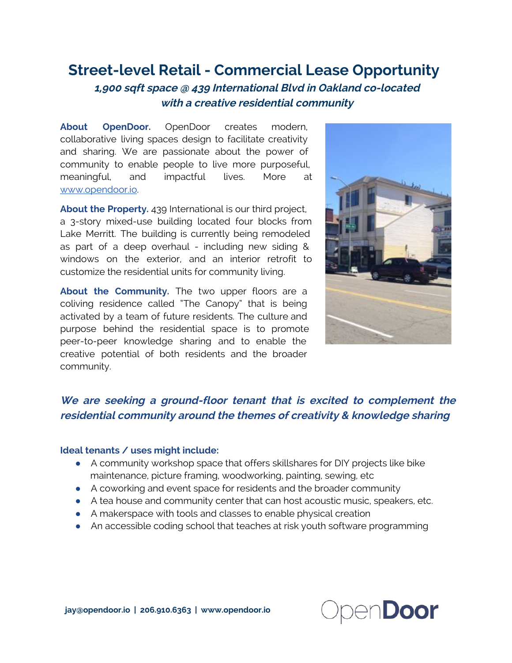## Street-level Retail - Commercial Lease Opportunity

1,900 sqft space @ 439 International Blvd in Oakland co-located with <sup>a</sup> creative residential community

About OpenDoor. OpenDoor creates modern, collaborative living spaces design to facilitate creativity and sharing. We are passionate about the power of community to enable people to live more purposeful, meaningful, and impactful lives. More at [www.opendoor.io.](http://www.google.com/url?q=http%3A%2F%2Fwww.opendoor.io&sa=D&sntz=1&usg=AFQjCNFqQ176IbIj7iyTYUgxBv7FMGx_vA)

About the Property. 439 International is our third project, a 3-story mixed-use building located four blocks from Lake Merritt. The building is currently being remodeled as part of a deep overhaul - including new siding & windows on the exterior, and an interior retrofit to customize the residential units for community living.

About the Community. The two upper floors are a coliving residence called "The Canopy" that is being activated by a team of future residents. The culture and purpose behind the residential space is to promote peer-to-peer knowledge sharing and to enable the creative potential of both residents and the broader community.



### We are seeking <sup>a</sup> ground-floor tenant that is excited to complement the residential community around the themes of creativity & knowledge sharing

#### Ideal tenants / uses might include:

- A community workshop space that offers skillshares for DIY projects like bike maintenance, picture framing, woodworking, painting, sewing, etc
- A coworking and event space for residents and the broader community
- A tea house and community center that can host acoustic music, speakers, etc.
- A makerspace with tools and classes to enable physical creation
- An accessible coding school that teaches at risk youth software programming

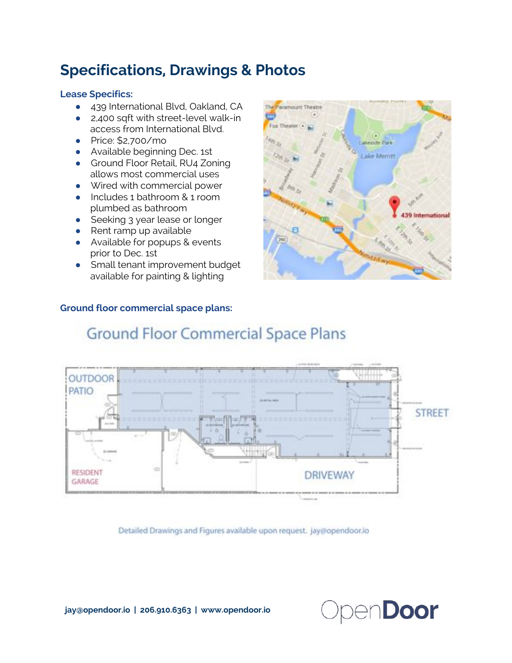# Specifications, Drawings & Photos

#### Lease Specifics:

- 439 International Blvd, Oakland, CA
- 2,400 sqft with street-level walk-in access from International Blvd.
- Price: \$2,700/mo
- Available beginning Dec. 1st
- Ground Floor Retail, RU4 Zoning allows most commercial uses
- Wired with commercial power
- Includes 1 bathroom & 1 room plumbed as bathroom
- Seeking 3 year lease or longer
- $\bullet$  Rent ramp up available
- Available for popups & events prior to Dec. 1st
- Small tenant improvement budget available for painting & lighting

## Ground floor commercial space plans:





# **Ground Floor Commercial Space Plans**

Detailed Drawings and Figures available upon request. Jay@opendoor.jo

jay@opendoor.io | 206.910.6363 | www.opendoor.io

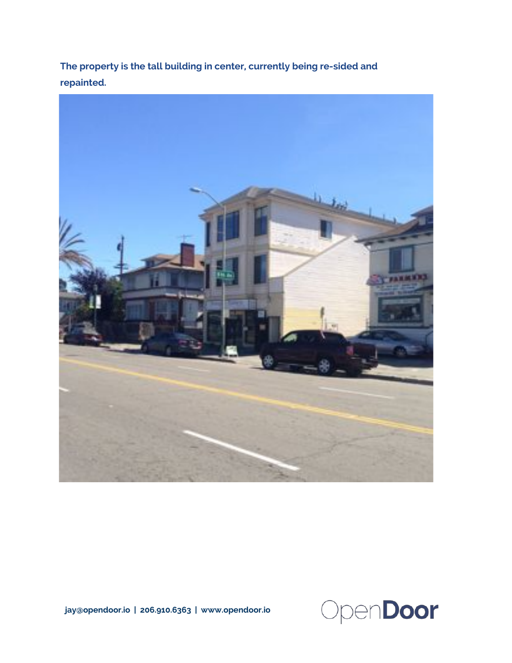The property is the tall building in center, currently being re-sided and repainted.



jay@opendoor.io | 206.910.6363 | www.opendoor.io

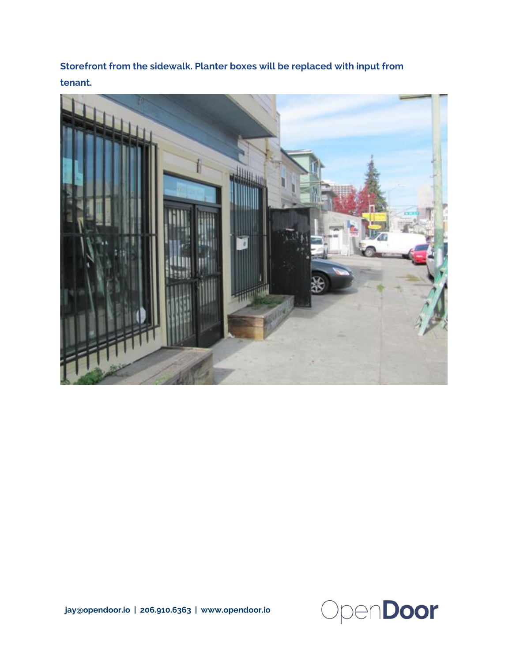Storefront from the sidewalk. Planter boxes will be replaced with input from tenant.





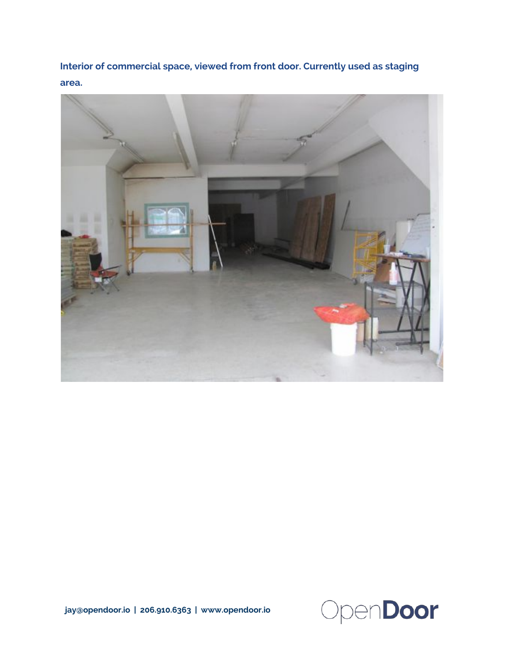Interior of commercial space, viewed from front door. Currently used as staging area.